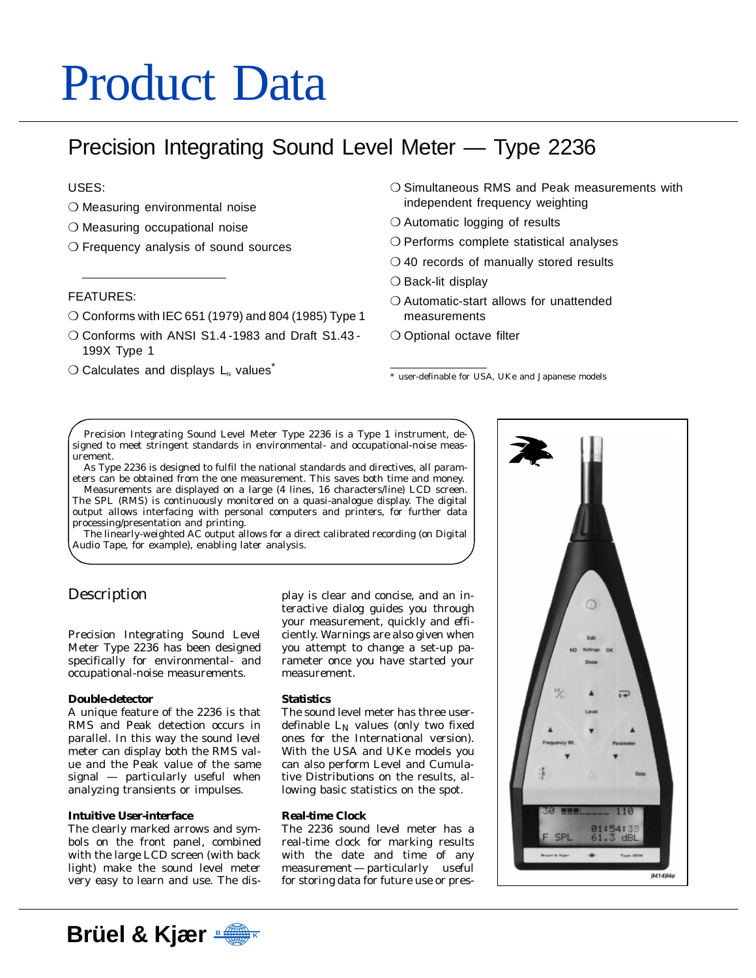# Product Data

# Precision Integrating Sound Level Meter — Type 2236

# USES:

- ❍ Measuring environmental noise
- ❍ Measuring occupational noise
- ❍ Frequency analysis of sound sources

# FEATURES:

- ❍ Conforms with IEC 651 (1979) and 804 (1985) Type 1
- ❍ Conforms with ANSI S1.4 -1983 and Draft S1.43 199X Type 1
- $\bigcirc$  Calculates and displays  $L_{N}$  values<sup>\*</sup>
- ❍ Simultaneous RMS and Peak measurements with independent frequency weighting
- O Automatic logging of results
- ❍ Performs complete statistical analyses
- ❍ 40 records of manually stored results
- ❍ Back-lit display
- ❍ Automatic-start allows for unattended measurements
- O Optional octave filter

\* user-definable for USA, UKe and Japanese models

Precision Integrating Sound Level Meter Type 2236 is a Type 1 instrument, designed to meet stringent standards in environmental- and occupational-noise measurement.

As Type 2236 is designed to fulfil the national standards and directives, all parameters can be obtained from the one measurement. This saves both time and money.

Measurements are displayed on a large (4 lines, 16 characters/line) LCD screen. The SPL (RMS) is continuously monitored on a quasi-analogue display. The digital output allows interfacing with personal computers and printers, for further data processing/presentation and printing.

The linearly-weighted AC output allows for a direct calibrated recording (on Digital Audio Tape, for example), enabling later analysis.

# Description

Precision Integrating Sound Level Meter Type 2236 has been designed specifically for environmental- and occupational-noise measurements.

# **Double-detector**

A unique feature of the 2236 is that RMS and Peak detection occurs in parallel. In this way the sound level meter can display both the RMS value and the Peak value of the same signal — particularly useful when analyzing transients or impulses.

# **Intuitive User-interface**

The clearly marked arrows and symbols on the front panel, combined with the large LCD screen (with back light) make the sound level meter very easy to learn and use. The dis-

play is clear and concise, and an interactive dialog guides you through your measurement, quickly and efficiently. Warnings are also given when you attempt to change a set-up parameter once you have started your measurement.

# **Statistics**

The sound level meter has three userdefinable  $L_N$  values (only two fixed ones for the International version). With the USA and UKe models you can also perform Level and Cumulative Distributions on the results, allowing basic statistics on the spot.

# **Real-time Clock**

The 2236 sound level meter has a real-time clock for marking results with the date and time of any measurement — particularly useful for storing data for future use or pres-



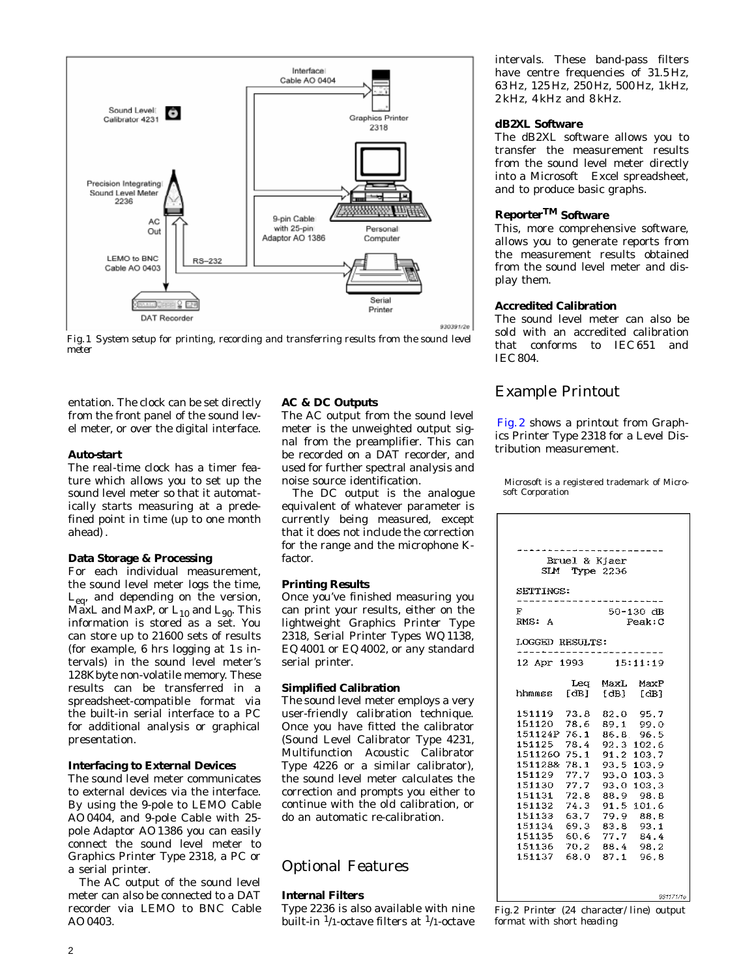

*Fig.1 System setup for printing, recording and transferring results from the sound level meter*

entation. The clock can be set directly from the front panel of the sound level meter, or over the digital interface.

# **Auto-start**

The real-time clock has a timer feature which allows you to set up the sound level meter so that it automatically starts measuring at a predefined point in time (up to one month ahead) .

# **Data Storage & Processing**

For each individual measurement, the sound level meter logs the time, L<sub>eq</sub>, and depending on the version, MaxL and MaxP, or  $L_{10}$  and  $L_{90}$ . This information is stored as a set. You can store up to 21600 sets of results (for example, 6 hrs logging at 1 s intervals) in the sound level meter's 128Kbyte non-volatile memory. These results can be transferred in a spreadsheet-compatible format via the built-in serial interface to a PC for additional analysis or graphical presentation.

# **Interfacing to External Devices**

The sound level meter communicates to external devices via the interface. By using the 9-pole to LEMO Cable AO 0404, and 9-pole Cable with 25 pole Adaptor AO 1386 you can easily connect the sound level meter to Graphics Printer Type 2318, a PC or a serial printer.

The AC output of the sound level meter can also be connected to a DAT recorder via LEMO to BNC Cable AO 0403.

# **AC & DC Outputs**

The AC output from the sound level meter is the unweighted output signal from the preamplifier. This can be recorded on a DAT recorder, and used for further spectral analysis and noise source identification.

The DC output is the analogue equivalent of whatever parameter is currently being measured, except that it does not include the correction for the range and the microphone Kfactor.

# **Printing Results**

Once you've finished measuring you can print your results, either on the lightweight Graphics Printer Type 2318, Serial Printer Types WQ 1138, EQ 4001 or EQ 4002, or any standard serial printer.

# **Simplified Calibration**

The sound level meter employs a very user-friendly calibration technique. Once you have fitted the calibrator (Sound Level Calibrator Type 4231, Multifunction Acoustic Calibrator Type 4226 or a similar calibrator), the sound level meter calculates the correction and prompts you either to continue with the old calibration, or do an automatic re-calibration.

# Optional Features

# **Internal Filters**

Type 2236 is also available with nine built-in  $\frac{1}{1}$ -octave filters at  $\frac{1}{1}$ -octave intervals. These band-pass filters have centre frequencies of 31.5 Hz, 63 Hz, 125 Hz, 250 Hz, 500 Hz, 1kHz, 2 kHz, 4 kHz and 8 kHz.

# **dB2XL Software**

The dB2XL software allows you to transfer the measurement results from the sound level meter directly into a Microsoft<sup>®</sup> Excel spreadsheet, and to produce basic graphs.

# **ReporterTM Software**

This, more comprehensive software, allows you to generate reports from the measurement results obtained from the sound level meter and display them.

# **Accredited Calibration**

The sound level meter can also be sold with an accredited calibration that conforms to IEC 651 and IEC 804.

# Example Printout

Fig. 2 shows a printout from Graphics Printer Type 2318 for a Level Distribution measurement.

 Microsoft is a registered trademark of Microsoft Corporation

| SLM.                      | Bruel & Kjaer | <b>Type 2236</b> |               |
|---------------------------|---------------|------------------|---------------|
| SETTINGS:<br>F.           |               |                  | $50 - 130$ dB |
| RMS: A<br>LOGGED RESULTS: |               |                  | Peak:C        |
|                           |               |                  |               |
| 12 Apr 1993               |               |                  | 15:11:19      |
| hhmmss [dB] [dB] [dB]     |               | Leg MaxL MaxP    |               |
| 151119 73.8 82.0 95.7     |               |                  |               |
| 151120 78.6 89.1 99.0     |               |                  |               |
| 151124P 76.1              |               |                  | 86.8 96.5     |
| 151125 78.4 92.3 102.6    |               |                  |               |
| 1511260 75.1 91.2 103.7   |               |                  |               |
| 151128& 78.1 93.5 103.9   |               |                  |               |
| 151129 77.7 93.0 103.3    |               |                  |               |
| 151130 77.7 93.0 103.3    |               |                  |               |
| 151131 72.8               |               | 88.9             | 98.8          |
| 151132 74.3               |               |                  | 91.5 101.6    |
| 151133 63.7               |               |                  | 79.9 88.8     |
| 151134 69.3               |               |                  | 83.8 93.1     |
| 151135 60.6               |               |                  | 77.7 84.4     |
| 151136 70.2 88.4 98.2     |               |                  |               |
| 151137 68.0 87.1 96.8     |               |                  |               |
|                           |               |                  |               |
|                           |               |                  | 931171/1e     |

*Fig.2 Printer (24 character/line) output format with short heading*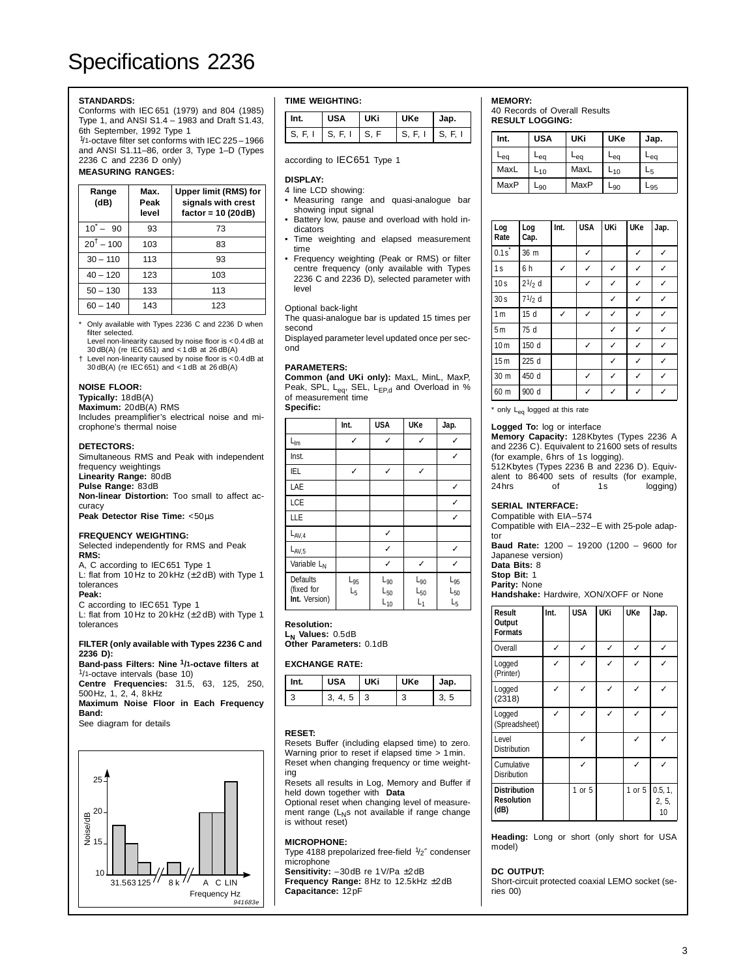# **STANDARDS:**

Conforms with IEC 651 (1979) and 804 (1985) Type 1, and ANSI S1.4 – 1983 and Draft S1.43, 6th September, 1992 Type 1

1/1-octave filter set conforms with IEC 225 – 1966 and ANSI S1.11–86, order 3, Type 1–D (Types 2236 C and 2236 D only)

# **MEASURING RANGES:**

| Range<br>(dB)                 | Max.<br>Peak<br>level | Upper limit (RMS) for<br>signals with crest<br>factor = $10(20dB)$ |
|-------------------------------|-----------------------|--------------------------------------------------------------------|
| $10^{\degree} - 90^{\degree}$ | 93                    | 73                                                                 |
| $20^{\dagger} - 100$          | 103                   | 83                                                                 |
| $30 - 110$                    | 113                   | 93                                                                 |
| $40 - 120$                    | 123                   | 103                                                                |
| $50 - 130$                    | 133                   | 113                                                                |
| $60 - 140$                    | 143                   | 123                                                                |

Only available with Types 2236 C and 2236 D when filter selected.

Level non-linearity caused by noise floor is <0.4 dB at 30 dB(A) (re IEC 651) and < 1 dB at 26 dB(A) † Level non-linearity caused by noise floor is <0.4 dB at

30 dB(A) (re IEC 651) and < 1 dB at 26 dB(A)

#### **NOISE FLOOR:**

#### **Typically:** 18dB(A)

**Maximum:** 20dB(A) RMS

Includes preamplifier's electrical noise and microphone's thermal noise

#### **DETECTORS:**

Simultaneous RMS and Peak with independent frequency weightings **Linearity Range:** 80dB **Pulse Range:** 83dB **Non-linear Distortion:** Too small to affect accuracy

**Peak Detector Rise Time:** <50µs

#### **FREQUENCY WEIGHTING:**

Selected independently for RMS and Peak **RMS:**

A, C according to IEC651 Type 1 L: flat from 10 Hz to 20 kHz (± 2 dB) with Type 1 tolerances

**Peak:**

C according to IEC651 Type 1 L: flat from 10 Hz to 20 kHz  $(\pm 2$  dB) with Type 1

tolerances

#### **FILTER (only available with Types 2236 C and 2236 D):**

**Band-pass Filters: Nine 1/1-octave filters at** 1/1-octave intervals (base 10)

**Centre Frequencies:** 31.5, 63, 125, 250, 500Hz, 1, 2, 4, 8kHz

**Maximum Noise Floor in Each Frequency Band:**

See diagram for details



#### **TIME WEIGHTING:**

| Int. | <b>USA</b>                       | UKi | <b>UKe</b>      | Jap. |
|------|----------------------------------|-----|-----------------|------|
|      | $S, F, I \mid S, F, I \mid S, F$ |     | S. F. I S. F. I |      |

# according to IEC651 Type 1

#### **DISPLAY:**

- 4 line LCD showing: • Measuring range and quasi-analogue bar showing input signal
- Battery low, pause and overload with hold indicators
- Time weighting and elapsed measurement time
- Frequency weighting (Peak or RMS) or filter centre frequency (only available with Types 2236 C and 2236 D), selected parameter with level

#### Optional back-light

The quasi-analogue bar is updated 15 times per second

Displayed parameter level updated once per second

#### **PARAMETERS:**

**Common (and UKi only):** MaxL, MinL, MaxP, Peak, SPL, L<sub>eq</sub>, SEL, L<sub>EP,d</sub> and Overload in %<br>of measurement time

**Specific:** 

|                                                | Int.              | <b>USA</b>                                | <b>UKe</b>                    | Jap.                                              |
|------------------------------------------------|-------------------|-------------------------------------------|-------------------------------|---------------------------------------------------|
| $\Gamma^{\text{lm}}$                           | ✓                 | ✓                                         | ✓                             | ✓                                                 |
| Inst.                                          |                   |                                           |                               | ✓                                                 |
| IEL                                            | ✓                 | ✓                                         | ✓                             |                                                   |
| LAE                                            |                   |                                           |                               | ✓                                                 |
| LCE                                            |                   |                                           |                               |                                                   |
| LLE                                            |                   |                                           |                               | ✓                                                 |
| $L_{AV,4}$                                     |                   | ✓                                         |                               |                                                   |
| $L_{AV,5}$                                     |                   | ✓                                         |                               |                                                   |
| Variable L <sub>N</sub>                        |                   |                                           | ✓                             |                                                   |
| <b>Defaults</b><br>(fixed for<br>Int. Version) | $L_{95}$<br>$L_5$ | $L_{90}$<br>$\mathsf{L}_{50}$<br>$L_{10}$ | $L_{90}$<br>$L_{50}$<br>$L_1$ | $L_{95}$<br>$\mathsf{L}_{50}$<br>$\mathsf{L}_{5}$ |

**Resolution:**

L<sub>N</sub> Values: 0.5dB **Other Parameters:** 0.1dB

#### **EXCHANGE RATE:**

| Int. | <b>USA</b> | UKi | <b>UKe</b> | Jap. |
|------|------------|-----|------------|------|
|      | 3.<br>4, 5 |     | c          |      |

#### **RESET:**

Resets Buffer (including elapsed time) to zero. Warning prior to reset if elapsed time  $> 1$  min. Reset when changing frequency or time weighting

Resets all results in Log, Memory and Buffer if held down together with 〈**Data**〉

Optional reset when changing level of measurement range (L<sub>N</sub>s not available if range change is without reset)

#### **MICROPHONE:**

Type 4188 prepolarized free-field  $1/2$ " condenser microphone

**Sensitivity:** –30dB re 1V/Pa ±2dB **Frequency Range:** 8Hz to 12.5kHz ±2dB

**Capacitance:** 12pF

#### **MEMORY:**

40 Records of Overall Results **RESULT LOGGING:**

| Int. | <b>USA</b> | UKi  | <b>UKe</b> | Jap. |
|------|------------|------|------------|------|
| -eq  | -ea        | -eq  | -eq        | -ea  |
| MaxL | ∟10        | MaxL | ∟10        | -5   |
| MaxP | -90        | MaxP | -90        | -95  |

| Log<br>Rate     | Log<br>Cap. | Int. | <b>USA</b> | <b>UKi</b> | <b>UKe</b> | Jap. |
|-----------------|-------------|------|------------|------------|------------|------|
| $0.1s^*$        | 36 m        |      | ✓          |            | ✓          | ✓    |
| 1s              | 6 h         | ✓    | ✓          | ✓          | ✓          | ✓    |
| 10 <sub>s</sub> | $21/2$ d    |      | ✓          | ✓          | ✓          | ✓    |
| 30 <sub>s</sub> | 71/2 d      |      |            | ✓          | ✓          | ✓    |
| 1 <sub>m</sub>  | 15 d        | ✓    | ✓          | ✓          | ✓          | ✓    |
| 5 <sub>m</sub>  | 75 d        |      |            | ✓          | ✓          | ✓    |
| 10 <sub>m</sub> | 150 d       |      | ✓          | ✓          | ✓          | ✓    |
| 15 <sub>m</sub> | 225 d       |      |            | ✓          | ✓          | ✓    |
| 30 m            | 450 d       |      | ✓          | ✓          | ✓          | ✓    |
| 60 m            | 900 d       |      | ✓          | ✓          | ✓          | ✓    |

\* only  $L_{eq}$  logged at this rate

#### **Logged To:** log or interface

**Memory Capacity:** 128Kbytes (Types 2236 A and 2236 C). Equivalent to 21600 sets of results (for example, 6hrs of 1s logging). 512Kbytes (Types 2236 B and 2236 D). Equiv-

alent to 86400 sets of results (for example, logging)

### **SERIAL INTERFACE:**

Compatible with EIA–574

Compatible with EIA–232–E with 25-pole adaptor

**Baud Rate:** 1200 – 19200 (1200 – 9600 for Japanese version)

**Data Bits:** 8

**Stop Bit:** 1 **Parity:** None

**Handshake:** Hardwire, XON/XOFF or None

| <b>Result</b><br>Output<br><b>Formats</b>        | Int. | <b>USA</b> | UKi | <b>UKe</b> | Jap.                   |
|--------------------------------------------------|------|------------|-----|------------|------------------------|
| Overall                                          | ✓    | J          | ✓   | ✓          | ✓                      |
| Logged<br>(Printer)                              | ✓    |            | ℐ   |            |                        |
| Logged<br>(2318)                                 | J    |            |     |            |                        |
| Logged<br>(Spreadsheet)                          | ✓    | J          | ✓   |            | J                      |
| Level<br><b>Distribution</b>                     |      | ✓          |     |            | ✓                      |
| Cumulative<br><b>Disribution</b>                 |      |            |     |            |                        |
| <b>Distribution</b><br><b>Resolution</b><br>(dB) |      | $1$ or $5$ |     | $1$ or $5$ | 0.5, 1,<br>2, 5,<br>10 |

**Heading:** Long or short (only short for USA model)

# **DC OUTPUT:**

Short-circuit protected coaxial LEMO socket (series 00)